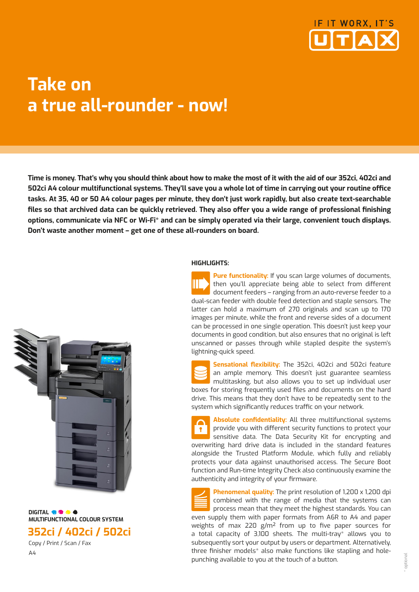

## **Take on a true all-rounder - now!**

**Time is money. That's why you should think about how to make the most of it with the aid of our 352ci, 402ci and 502ci A4 colour multifunctional systems. They'll save you a whole lot of time in carrying out your routine office tasks. At 35, 40 or 50 A4 colour pages per minute, they don't just work rapidly, but also create text-searchable files so that archived data can be quickly retrieved. They also offer you a wide range of professional finishing options, communicate via NFC or Wi-Fi\* and can be simply operated via their large, convenient touch displays. Don't waste another moment – get one of these all-rounders on board.**



**DIGITAL OF CALC MULTIFUNCTIONAL COLOUR SYSTEM 352ci / 402ci / 502ci**

 Copy / Print / Scan / Fax A4

#### **HIGHLIGHTS:**

**Pure functionality:** If you scan large volumes of documents, then you'll appreciate being able to select from different document feeders – ranging from an auto-reverse feeder to a dual-scan feeder with double feed detection and staple sensors. The latter can hold a maximum of 270 originals and scan up to 170 images per minute, while the front and reverse sides of a document can be processed in one single operation. This doesn't just keep your documents in good condition, but also ensures that no original is left unscanned or passes through while stapled despite the system's lightning-quick speed.

**Sensational flexibility:** The 352ci, 402ci and 502ci feature an ample memory. This doesn't just guarantee seamless multitasking, but also allows you to set up individual user boxes for storing frequently used files and documents on the hard drive. This means that they don't have to be repeatedly sent to the system which significantly reduces traffic on your network.

**Absolute confidentiality:** All three multifunctional systems provide you with different security functions to protect your sensitive data. The Data Security Kit for encrypting and overwriting hard drive data is included in the standard features alongside the Trusted Platform Module, which fully and reliably protects your data against unauthorised access. The Secure Boot function and Run-time Integrity Check also continuously examine the authenticity and integrity of your firmware.

**Phenomenal quality:** The print resolution of 1,200 x 1,200 dpi combined with the range of media that the systems can process mean that they meet the highest standards. You can even supply them with paper formats from A6R to A4 and paper weights of max 220 g/m² from up to five paper sources for a total capacity of 3,100 sheets. The multi-tray\* allows you to subsequently sort your output by users or department. Alternatively, three finisher models\* also make functions like stapling and holepunching available to you at the touch of a button.